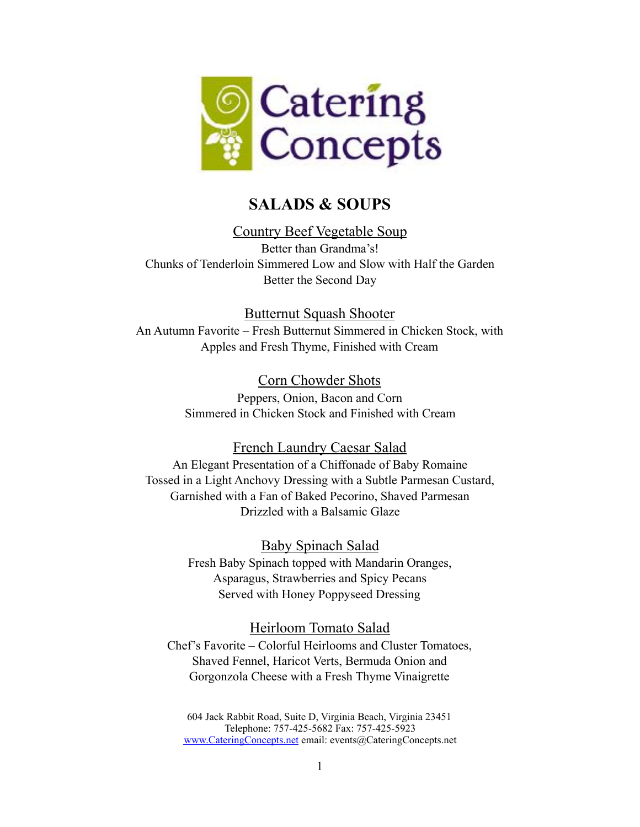

# **SALADS & SOUPS**

## Country Beef Vegetable Soup

Better than Grandma's! Chunks of Tenderloin Simmered Low and Slow with Half the Garden Better the Second Day

Butternut Squash Shooter

An Autumn Favorite – Fresh Butternut Simmered in Chicken Stock, with Apples and Fresh Thyme, Finished with Cream

> Corn Chowder Shots Peppers, Onion, Bacon and Corn Simmered in Chicken Stock and Finished with Cream

## French Laundry Caesar Salad

An Elegant Presentation of a Chiffonade of Baby Romaine Tossed in a Light Anchovy Dressing with a Subtle Parmesan Custard, Garnished with a Fan of Baked Pecorino, Shaved Parmesan Drizzled with a Balsamic Glaze

Baby Spinach Salad

Fresh Baby Spinach topped with Mandarin Oranges, Asparagus, Strawberries and Spicy Pecans Served with Honey Poppyseed Dressing

## Heirloom Tomato Salad

Chef's Favorite – Colorful Heirlooms and Cluster Tomatoes, Shaved Fennel, Haricot Verts, Bermuda Onion and Gorgonzola Cheese with a Fresh Thyme Vinaigrette

604 Jack Rabbit Road, Suite D, Virginia Beach, Virginia 23451 Telephone: 757-425-5682 Fax: 757-425-5923 [www.CateringConcepts.net](http://www.cateringconcepts.net/) email: events@CateringConcepts.net